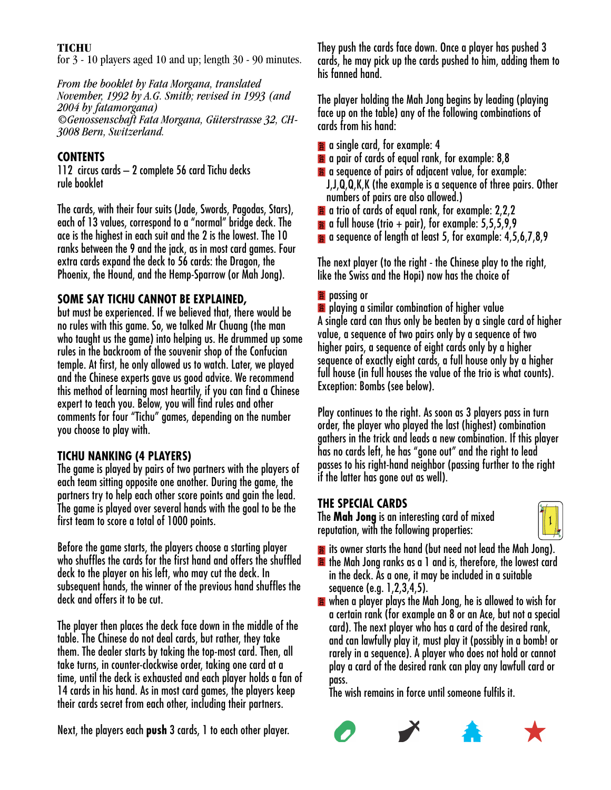### **TICHU**

for 3 - 10 players aged 10 and up; length 30 - 90 minutes.

*From the booklet by Fata Morgana, translated November, 1992 by A.G. Smith; revised in 1993 (and 2004 by fatamorgana) ©Genossenschaft Fata Morgana, Güterstrasse 32, CH-3008 Bern, Switzerland.*

# **CONTENTS**

112 circus cards – 2 complete 56 card Tichu decks rule booklet

The cards, with their four suits (Jade, Swords, Pagodas, Stars), each of 13 values, correspond to a "normal" bridge deck. The ace is the highest in each suit and the 2 is the lowest. The 10 ranks between the 9 and the jack, as in most card games. Four extra cards expand the deck to 56 cards: the Dragon, the Phoenix, the Hound, and the Hemp-Sparrow (or Mah Jong).

# **SOME SAY TICHU CANNOT BE EXPLAINED,**

but must be experienced. If we believed that, there would be no rules with this game. So, we talked Mr Chuang (the man who taught us the game) into helping us. He drummed up some rules in the backroom of the souvenir shop of the Confucian temple. At first, he only allowed us to watch. Later, we played and the Chinese experts gave us good advice. We recommend this method of learning most heartily, if you can find a Chinese expert to teach you. Below, you will find rules and other comments for four "Tichu" games, depending on the number you choose to play with.

# **TICHU NANKING (4 PLAYERS)**

The game is played by pairs of two partners with the players of each team sitting opposite one another. During the game, the partners try to help each other score points and gain the lead. The game is played over several hands with the goal to be the first team to score a total of 1000 points.

Before the game starts, the players choose a starting player who shuffles the cards for the first hand and offers the shuffled deck to the player on his left, who may cut the deck. In subsequent hands, the winner of the previous hand shuffles the deck and offers it to be cut.

The player then places the deck face down in the middle of the table. The Chinese do not deal cards, but rather, they take them. The dealer starts by taking the top-most card. Then, all take turns, in counter-clockwise order, taking one card at a time, until the deck is exhausted and each player holds a fan of 14 cards in his hand. As in most card games, the players keep their cards secret from each other, including their partners.

Next, the players each **push** 3 cards, 1 to each other player.

They push the cards face down. Once a player has pushed 3 cards, he may pick up the cards pushed to him, adding them to his fanned hand.

The player holding the Mah Jong begins by leading (playing face up on the table) any of the following combinations of cards from his hand:

- **a** a single card, for example: 4
- a a pair of cards of equal rank, for example: 8.8
- **a** a sequence of pairs of adjacent value, for example: J,J,Q,Q,K,K (the example is a sequence of three pairs. Other numbers of pairs are also allowed.)
- $\hat{\mathbf{a}}$  a trio of cards of equal rank, for example: 2,2,2
- $\approx$  a full house (trio + pair), for example: 5,5,5,9,9
- **a** a sequence of length at least 5, for example: 4,5,6,7,8,9

The next player (to the right - the Chinese play to the right, like the Swiss and the Hopi) now has the choice of

## **2** passing or

**2** playing a similar combination of higher value A single card can thus only be beaten by a single card of higher value, a sequence of two pairs only by a sequence of two higher pairs, a sequence of eight cards only by a higher sequence of exactly eight cards, a full house only by a higher full house (in full houses the value of the trio is what counts). Exception: Bombs (see below).

Play continues to the right. As soon as 3 players pass in turn order, the player who played the last (highest) combination gathers in the trick and leads a new combination. If this player has no cards left, he has "gone out" and the right to lead passes to his right-hand neighbor (passing further to the right if the latter has gone out as well).

# **THE SPECIAL CARDS**

The **Mah Jong** is an interesting card of mixed reputation, with the following properties:



- **it** its owner starts the hand (but need not lead the Mah Jong).  $\hat{a}$  the Mah Jong ranks as a 1 and is, therefore, the lowest card in the deck. As a one, it may be included in a suitable sequence (e.g. 1,2,3,4,5).
- $\hat{\mathbf{a}}$  when a player plays the Mah Jong, he is allowed to wish for a certain rank (for example an 8 or an Ace, but not a special card). The next player who has a card of the desired rank, and can lawfully play it, must play it (possibly in a bomb! or rarely in a sequence). A player who does not hold or cannot play a card of the desired rank can play any lawfull card or pass.

The wish remains in force until someone fulfils it.



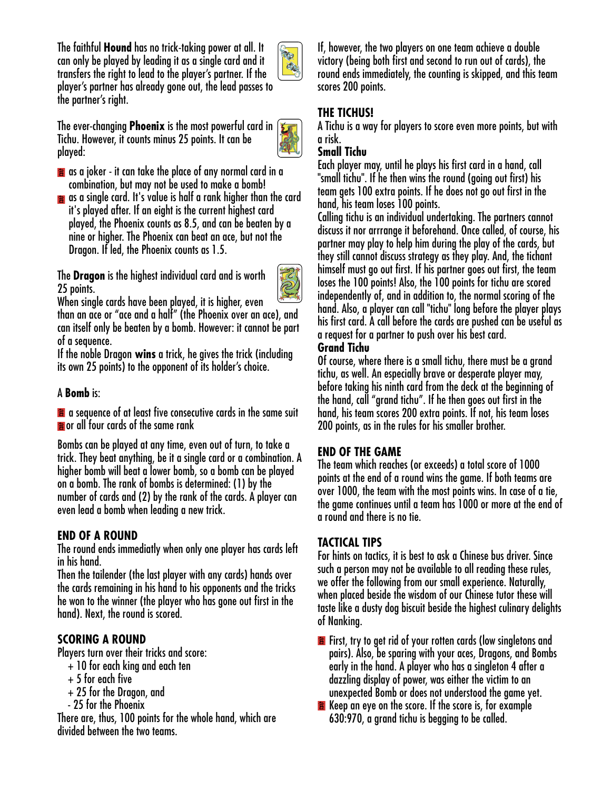The faithful **Hound** has no trick-taking power at all. It can only be played by leading it as a single card and it transfers the right to lead to the player's partner. If the player's partner has already gone out, the lead passes to the partner's right.



The ever-changing **Phoenix** is the most powerful card in Tichu. However, it counts minus 25 points. It can be played:



- $\hat{\mathbf{z}}$  as a joker it can take the place of any normal card in a combination, but may not be used to make a bomb!
- $\hat{\mathbf{z}}$  as a single card. It's value is half a rank higher than the card it's played after. If an eight is the current highest card played, the Phoenix counts as 8.5, and can be beaten by a nine or higher. The Phoenix can beat an ace, but not the Dragon. If led, the Phoenix counts as 1.5.

The **Dragon** is the highest individual card and is worth 25 points.



When single cards have been played, it is higher, even than an ace or "ace and a half" (the Phoenix over an ace), and can itself only be beaten by a bomb. However: it cannot be part of a sequence.

If the noble Dragon **wins** a trick, he gives the trick (including its own 25 points) to the opponent of its holder's choice.

## A **Bomb** is:

 $\hat{\mathbf{a}}$  a sequence of at least five consecutive cards in the same suit **a** or all four cards of the same rank

Bombs can be played at any time, even out of turn, to take a trick. They beat anything, be it a single card or a combination. A higher bomb will beat a lower bomb, so a bomb can be played on a bomb. The rank of bombs is determined: (1) by the number of cards and (2) by the rank of the cards. A player can even lead a bomb when leading a new trick.

## **END OF A ROUND**

The round ends immediatly when only one player has cards left in his hand.

Then the tailender (the last player with any cards) hands over the cards remaining in his hand to his opponents and the tricks he won to the winner (the player who has gone out first in the hand). Next, the round is scored.

### **SCORING A ROUND**

Players turn over their tricks and score:

- + 10 for each king and each ten
- + 5 for each five
- + 25 for the Dragon, and
- 25 for the Phoenix

There are, thus, 100 points for the whole hand, which are divided between the two teams.

If, however, the two players on one team achieve a double victory (being both first and second to run out of cards), the round ends immediately, the counting is skipped, and this team scores 200 points.

## **THE TICHUS!**

A Tichu is a way for players to score even more points, but with a risk.

### **Small Tichu**

Each player may, until he plays his first card in a hand, call "small tichu". If he then wins the round (going out first) his team gets 100 extra points. If he does not go out first in the hand, his team loses 100 points.

Calling tichu is an individual undertaking. The partners cannot discuss it nor arrrange it beforehand. Once called, of course, his partner may play to help him during the play of the cards, but they still cannot discuss strategy as they play. And, the tichant himself must go out first. If his partner goes out first, the team loses the 100 points! Also, the 100 points for tichu are scored independently of, and in addition to, the normal scoring of the hand. Also, a player can call "tichu" long before the player plays his first card. A call before the cards are pushed can be useful as a request for a partner to push over his best card.

### **Grand Tichu**

Of course, where there is a small tichu, there must be a grand tichu, as well. An especially brave or desperate player may, before taking his ninth card from the deck at the beginning of the hand, call "grand tichu". If he then goes out first in the hand, his team scores 200 extra points. If not, his team loses 200 points, as in the rules for his smaller brother.

## **END OF THE GAME**

The team which reaches (or exceeds) a total score of 1000 points at the end of a round wins the game. If both teams are over 1000, the team with the most points wins. In case of a tie, the game continues until a team has 1000 or more at the end of a round and there is no tie.

## **TACTICAL TIPS**

For hints on tactics, it is best to ask a Chinese bus driver. Since such a person may not be available to all reading these rules, we offer the following from our small experience. Naturally, when placed beside the wisdom of our Chinese tutor these will taste like a dusty dog biscuit beside the highest culinary delights of Nanking.

**E** First, try to get rid of your rotten cards (low singletons and pairs). Also, be sparing with your aces, Dragons, and Bombs early in the hand. A player who has a singleton 4 after a dazzling display of power, was either the victim to an unexpected Bomb or does not understood the game yet.

**E** Keep an eye on the score. If the score is, for example 630:970, a grand tichu is begging to be called.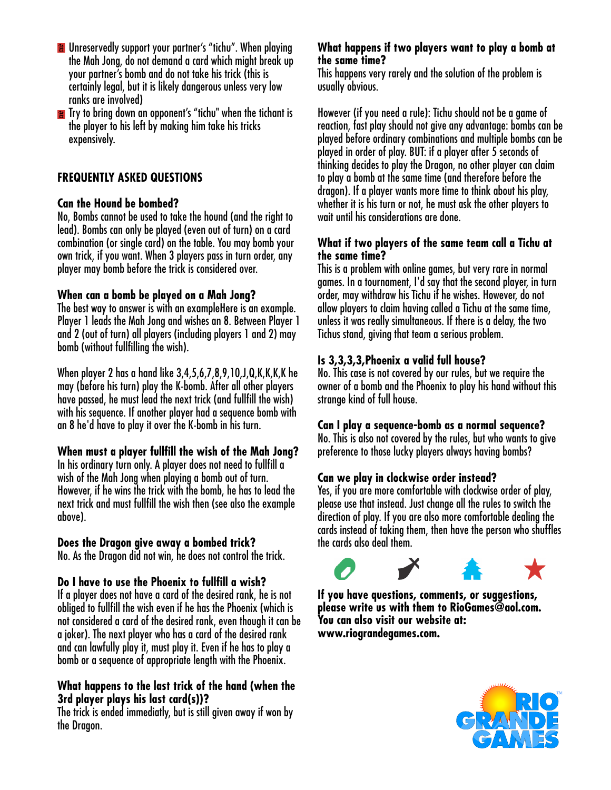- **E** Unreservedly support your partner's "tichu". When playing the Mah Jong, do not demand a card which might break up your partner's bomb and do not take his trick (this is certainly legal, but it is likely dangerous unless very low ranks are involved)
- **The Try to bring down an opponent's "tichu" when the tichant is** the player to his left by making him take his tricks expensively.

## **FREQUENTLY ASKED QUESTIONS**

### **Can the Hound be bombed?**

No, Bombs cannot be used to take the hound (and the right to lead). Bombs can only be played (even out of turn) on a card combination (or single card) on the table. You may bomb your own trick, if you want. When 3 players pass in turn order, any player may bomb before the trick is considered over.

### **When can a bomb be played on a Mah Jong?**

The best way to answer is with an exampleHere is an example. Player 1 leads the Mah Jong and wishes an 8. Between Player 1 and 2 (out of turn) all players (including players 1 and 2) may bomb (without fullfilling the wish).

When player 2 has a hand like 3,4,5,6,7,8,9,10,J,Q,K,K,K,K he may (before his turn) play the K-bomb. After all other players have passed, he must lead the next trick (and fullfill the wish) with his sequence. If another player had a sequence bomb with an 8 he'd have to play it over the K-bomb in his turn.

## **When must a player fullfill the wish of the Mah Jong?**

In his ordinary turn only. A player does not need to fullfill a wish of the Mah Jong when playing a bomb out of turn. However, if he wins the trick with the bomb, he has to lead the next trick and must fullfill the wish then (see also the example above).

### **Does the Dragon give away a bombed trick?**

No. As the Dragon did not win, he does not control the trick.

## **Do I have to use the Phoenix to fullfill a wish?**

If a player does not have a card of the desired rank, he is not obliged to fullfill the wish even if he has the Phoenix (which is not considered a card of the desired rank, even though it can be a joker). The next player who has a card of the desired rank and can lawfully play it, must play it. Even if he has to play a bomb or a sequence of appropriate length with the Phoenix.

### **What happens to the last trick of the hand (when the 3rd player plays his last card(s))?**

The trick is ended immediatly, but is still given away if won by the Dragon.

#### **What happens if two players want to play a bomb at the same time?**

This happens very rarely and the solution of the problem is usually obvious.

However (if you need a rule): Tichu should not be a game of reaction, fast play should not give any advantage: bombs can be played before ordinary combinations and multiple bombs can be played in order of play. BUT: if a player after 5 seconds of thinking decides to play the Dragon, no other player can claim to play a bomb at the same time (and therefore before the dragon). If a player wants more time to think about his play, whether it is his turn or not, he must ask the other players to wait until his considerations are done.

### **What if two players of the same team call a Tichu at the same time?**

This is a problem with online games, but very rare in normal games. In a tournament, I'd say that the second player, in turn order, may withdraw his Tichu if he wishes. However, do not allow players to claim having called a Tichu at the same time, unless it was really simultaneous. If there is a delay, the two Tichus stand, giving that team a serious problem.

## **Is 3,3,3,3,Phoenix a valid full house?**

No. This case is not covered by our rules, but we require the owner of a bomb and the Phoenix to play his hand without this strange kind of full house.

### **Can I play a sequence-bomb as a normal sequence?**

No. This is also not covered by the rules, but who wants to give preference to those lucky players always having bombs?

## **Can we play in clockwise order instead?**

Yes, if you are more comfortable with clockwise order of play, please use that instead. Just change all the rules to switch the direction of play. If you are also more comfortable dealing the cards instead of taking them, then have the person who shuffles the cards also deal them.



**If you have questions, comments, or suggestions, please write us with them to RioGames@aol.com. You can also visit our website at: www.riograndegames.com.**